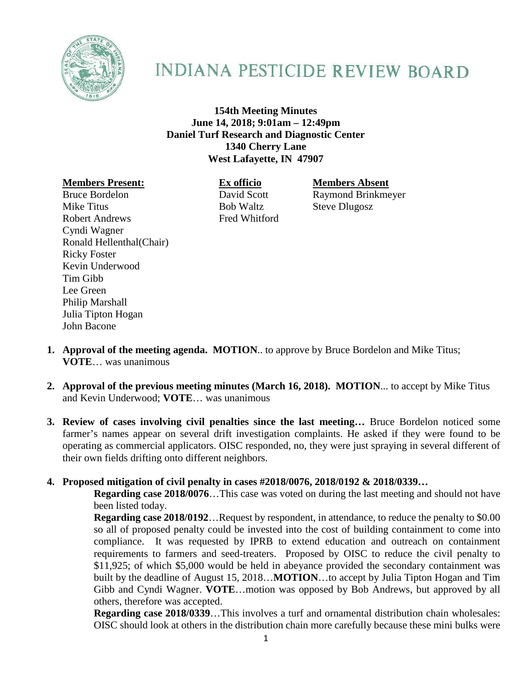

## **INDIANA PESTICIDE REVIEW BOARD**

## **154th Meeting Minutes June 14, 2018; 9:01am – 12:49pm Daniel Turf Research and Diagnostic Center 1340 Cherry Lane West Lafayette, IN 47907**

## **Members Present: Ex officio Members Absent**

Mike Titus Bob Waltz Steve Dlugosz Robert Andrews Fred Whitford Cyndi Wagner Ronald Hellenthal(Chair) Ricky Foster Kevin Underwood Tim Gibb Lee Green Philip Marshall Julia Tipton Hogan John Bacone

Bruce Bordelon David Scott Raymond Brinkmeyer

- **1. Approval of the meeting agenda. MOTION**.. to approve by Bruce Bordelon and Mike Titus; **VOTE**… was unanimous
- **2. Approval of the previous meeting minutes (March 16, 2018). MOTION**... to accept by Mike Titus and Kevin Underwood; **VOTE**… was unanimous
- **3. Review of cases involving civil penalties since the last meeting…** Bruce Bordelon noticed some farmer's names appear on several drift investigation complaints. He asked if they were found to be operating as commercial applicators. OISC responded, no, they were just spraying in several different of their own fields drifting onto different neighbors.

## **4. Proposed mitigation of civil penalty in cases #2018/0076, 2018/0192 & 2018/0339…**

**Regarding case 2018/0076**…This case was voted on during the last meeting and should not have been listed today.

**Regarding case 2018/0192**…Request by respondent, in attendance, to reduce the penalty to \$0.00 so all of proposed penalty could be invested into the cost of building containment to come into compliance. It was requested by IPRB to extend education and outreach on containment requirements to farmers and seed-treaters. Proposed by OISC to reduce the civil penalty to \$11,925; of which \$5,000 would be held in abeyance provided the secondary containment was built by the deadline of August 15, 2018…**MOTION**…to accept by Julia Tipton Hogan and Tim Gibb and Cyndi Wagner. **VOTE**…motion was opposed by Bob Andrews, but approved by all others, therefore was accepted.

**Regarding case 2018/0339**…This involves a turf and ornamental distribution chain wholesales: OISC should look at others in the distribution chain more carefully because these mini bulks were